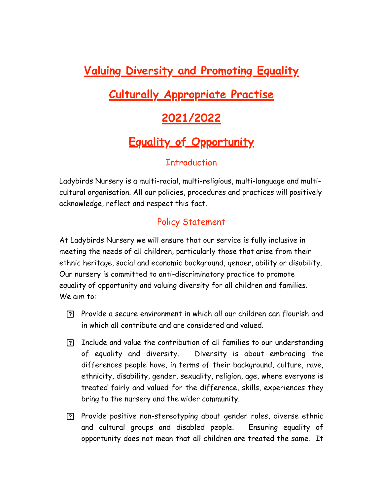# **Valuing Diversity and Promoting Equality Culturally Appropriate Practise 2021/2022 Equality of Opportunity**

## **Introduction**

Ladybirds Nursery is a multi-racial, multi-religious, multi-language and multicultural organisation. All our policies, procedures and practices will positively acknowledge, reflect and respect this fact.

# Policy Statement

At Ladybirds Nursery we will ensure that our service is fully inclusive in meeting the needs of all children, particularly those that arise from their ethnic heritage, social and economic background, gender, ability or disability. Our nursery is committed to anti-discriminatory practice to promote equality of opportunity and valuing diversity for all children and families. We aim to:

- Provide a secure environment in which all our children can flourish and in which all contribute and are considered and valued.
- Include and value the contribution of all families to our understanding of equality and diversity. Diversity is about embracing the differences people have, in terms of their background, culture, rave, ethnicity, disability, gender, sexuality, religion, age, where everyone is treated fairly and valued for the difference, skills, experiences they bring to the nursery and the wider community.
- Provide positive non-stereotyping about gender roles, diverse ethnic and cultural groups and disabled people. Ensuring equality of opportunity does not mean that all children are treated the same. It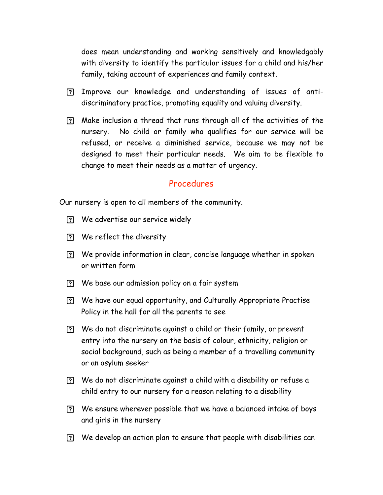does mean understanding and working sensitively and knowledgably with diversity to identify the particular issues for a child and his/her family, taking account of experiences and family context.

- Improve our knowledge and understanding of issues of antidiscriminatory practice, promoting equality and valuing diversity.
- Make inclusion a thread that runs through all of the activities of the nursery. No child or family who qualifies for our service will be refused, or receive a diminished service, because we may not be designed to meet their particular needs. We aim to be flexible to change to meet their needs as a matter of urgency.

#### Procedures

Our nursery is open to all members of the community.

- We advertise our service widely
- We reflect the diversity
- We provide information in clear, concise language whether in spoken or written form
- We base our admission policy on a fair system
- We have our equal opportunity, and Culturally Appropriate Practise Policy in the hall for all the parents to see
- We do not discriminate against a child or their family, or prevent entry into the nursery on the basis of colour, ethnicity, religion or social background, such as being a member of a travelling community or an asylum seeker
- We do not discriminate against a child with a disability or refuse a child entry to our nursery for a reason relating to a disability
- We ensure wherever possible that we have a balanced intake of boys and girls in the nursery
- We develop an action plan to ensure that people with disabilities can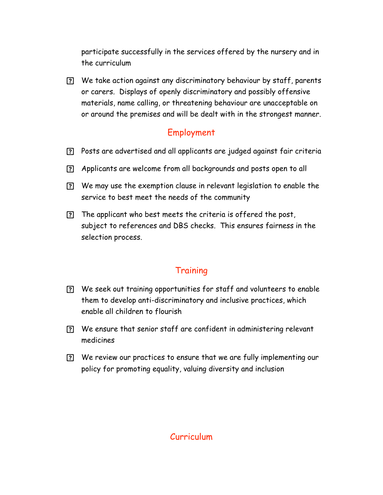participate successfully in the services offered by the nursery and in the curriculum

 We take action against any discriminatory behaviour by staff, parents or carers. Displays of openly discriminatory and possibly offensive materials, name calling, or threatening behaviour are unacceptable on or around the premises and will be dealt with in the strongest manner.

## Employment

- Posts are advertised and all applicants are judged against fair criteria
- Applicants are welcome from all backgrounds and posts open to all
- We may use the exemption clause in relevant legislation to enable the service to best meet the needs of the community
- The applicant who best meets the criteria is offered the post, subject to references and DBS checks. This ensures fairness in the selection process.

# **Training**

- We seek out training opportunities for staff and volunteers to enable them to develop anti-discriminatory and inclusive practices, which enable all children to flourish
- We ensure that senior staff are confident in administering relevant medicines
- We review our practices to ensure that we are fully implementing our policy for promoting equality, valuing diversity and inclusion

## Curriculum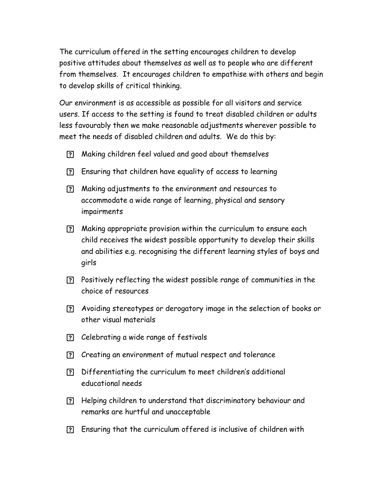The curriculum offered in the setting encourages children to develop positive attitudes about themselves as well as to people who are different from themselves. It encourages children to empathise with others and begin to develop skills of critical thinking.

Our environment is as accessible as possible for all visitors and service users. If access to the setting is found to treat disabled children or adults less favourably then we make reasonable adjustments wherever possible to meet the needs of disabled children and adults. We do this by:

- Making children feel valued and good about themselves
- Ensuring that children have equality of access to learning
- Making adjustments to the environment and resources to accommodate a wide range of learning, physical and sensory impairments
- Making appropriate provision within the curriculum to ensure each child receives the widest possible opportunity to develop their skills and abilities e.g. recognising the different learning styles of boys and girls
- Positively reflecting the widest possible range of communities in the choice of resources
- Avoiding stereotypes or derogatory image in the selection of books or other visual materials
- Celebrating a wide range of festivals
- Creating an environment of mutual respect and tolerance
- Differentiating the curriculum to meet children's additional educational needs
- Helping children to understand that discriminatory behaviour and remarks are hurtful and unacceptable
- Ensuring that the curriculum offered is inclusive of children with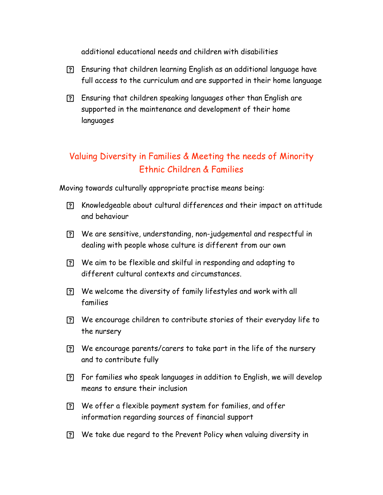additional educational needs and children with disabilities

- Ensuring that children learning English as an additional language have full access to the curriculum and are supported in their home language
- Ensuring that children speaking languages other than English are supported in the maintenance and development of their home languages

# Valuing Diversity in Families & Meeting the needs of Minority Ethnic Children & Families

Moving towards culturally appropriate practise means being:

- Knowledgeable about cultural differences and their impact on attitude and behaviour
- We are sensitive, understanding, non-judgemental and respectful in dealing with people whose culture is different from our own
- We aim to be flexible and skilful in responding and adapting to different cultural contexts and circumstances.
- We welcome the diversity of family lifestyles and work with all families
- We encourage children to contribute stories of their everyday life to the nursery
- We encourage parents/carers to take part in the life of the nursery and to contribute fully
- For families who speak languages in addition to English, we will develop means to ensure their inclusion
- We offer a flexible payment system for families, and offer information regarding sources of financial support
- We take due regard to the Prevent Policy when valuing diversity in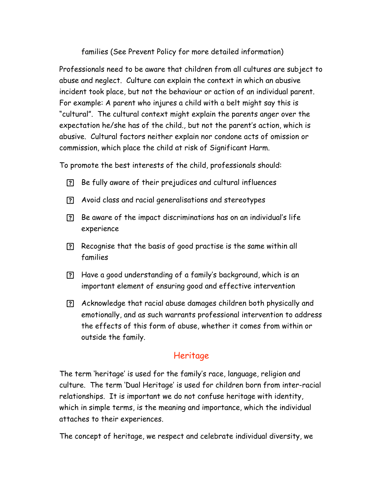#### families (See Prevent Policy for more detailed information)

Professionals need to be aware that children from all cultures are subject to abuse and neglect. Culture can explain the context in which an abusive incident took place, but not the behaviour or action of an individual parent. For example: A parent who injures a child with a belt might say this is "cultural". The cultural context might explain the parents anger over the expectation he/she has of the child., but not the parent's action, which is abusive. Cultural factors neither explain nor condone acts of omission or commission, which place the child at risk of Significant Harm.

To promote the best interests of the child, professionals should:

- Be fully aware of their prejudices and cultural influences
- Avoid class and racial generalisations and stereotypes
- Be aware of the impact discriminations has on an individual's life experience
- Recognise that the basis of good practise is the same within all families
- Have a good understanding of a family's background, which is an important element of ensuring good and effective intervention
- Acknowledge that racial abuse damages children both physically and emotionally, and as such warrants professional intervention to address the effects of this form of abuse, whether it comes from within or outside the family.

# Heritage

The term 'heritage' is used for the family's race, language, religion and culture. The term 'Dual Heritage' is used for children born from inter-racial relationships. It is important we do not confuse heritage with identity, which in simple terms, is the meaning and importance, which the individual attaches to their experiences.

The concept of heritage, we respect and celebrate individual diversity, we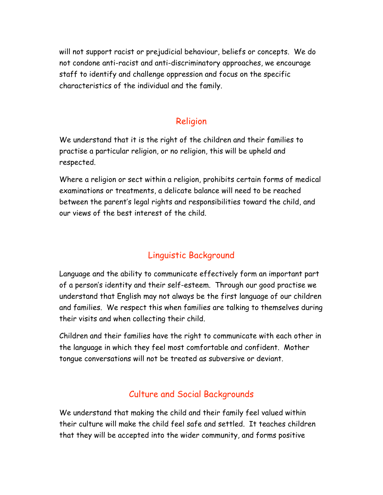will not support racist or prejudicial behaviour, beliefs or concepts. We do not condone anti-racist and anti-discriminatory approaches, we encourage staff to identify and challenge oppression and focus on the specific characteristics of the individual and the family.

## Religion

We understand that it is the right of the children and their families to practise a particular religion, or no religion, this will be upheld and respected.

Where a religion or sect within a religion, prohibits certain forms of medical examinations or treatments, a delicate balance will need to be reached between the parent's legal rights and responsibilities toward the child, and our views of the best interest of the child.

# Linguistic Background

Language and the ability to communicate effectively form an important part of a person's identity and their self-esteem. Through our good practise we understand that English may not always be the first language of our children and families. We respect this when families are talking to themselves during their visits and when collecting their child.

Children and their families have the right to communicate with each other in the language in which they feel most comfortable and confident. Mother tongue conversations will not be treated as subversive or deviant.

## Culture and Social Backgrounds

We understand that making the child and their family feel valued within their culture will make the child feel safe and settled. It teaches children that they will be accepted into the wider community, and forms positive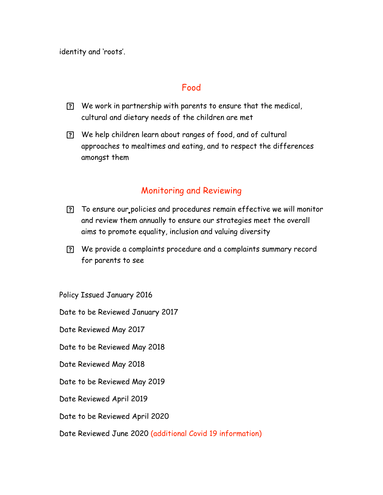identity and 'roots'.

#### Food

- We work in partnership with parents to ensure that the medical, cultural and dietary needs of the children are met
- We help children learn about ranges of food, and of cultural approaches to mealtimes and eating, and to respect the differences amongst them

#### Monitoring and Reviewing

- To ensure our policies and procedures remain effective we will monitor and review them annually to ensure our strategies meet the overall aims to promote equality, inclusion and valuing diversity
- We provide a complaints procedure and a complaints summary record for parents to see

Policy Issued January 2016

Date to be Reviewed January 2017

Date Reviewed May 2017

Date to be Reviewed May 2018

Date Reviewed May 2018

- Date to be Reviewed May 2019
- Date Reviewed April 2019
- Date to be Reviewed April 2020
- Date Reviewed June 2020 (additional Covid 19 information)